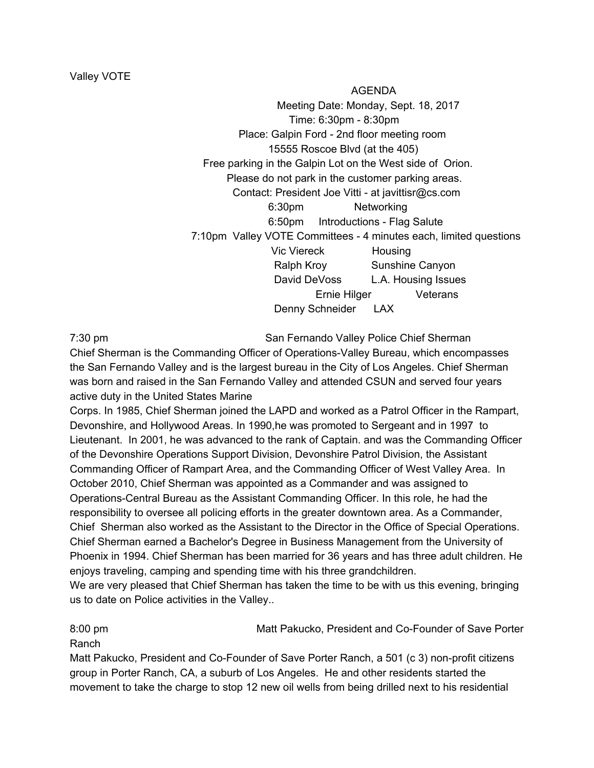AGENDA Meeting Date: Monday, Sept. 18, 2017 Time: 6:30pm - 8:30pm Place: Galpin Ford - 2nd floor meeting room 15555 Roscoe Blvd (at the 405) Free parking in the Galpin Lot on the West side of Orion. Please do not park in the customer parking areas. Contact: President Joe Vitti - at javittisr@cs.com 6:30pm Networking 6:50pm Introductions - Flag Salute 7:10pm Valley VOTE Committees - 4 minutes each, limited questions Vic Viereck Housing Ralph Kroy Sunshine Canyon David DeVoss L.A. Housing Issues Ernie Hilger Veterans Denny Schneider LAX

7:30 pm San Fernando Valley Police Chief Sherman Chief Sherman is the Commanding Officer of Operations-Valley Bureau, which encompasses the San Fernando Valley and is the largest bureau in the City of Los Angeles. Chief Sherman was born and raised in the San Fernando Valley and attended CSUN and served four years active duty in the United States Marine

Corps. In 1985, Chief Sherman joined the LAPD and worked as a Patrol Officer in the Rampart, Devonshire, and Hollywood Areas. In 1990,he was promoted to Sergeant and in 1997 to Lieutenant. In 2001, he was advanced to the rank of Captain. and was the Commanding Officer of the Devonshire Operations Support Division, Devonshire Patrol Division, the Assistant Commanding Officer of Rampart Area, and the Commanding Officer of West Valley Area. In October 2010, Chief Sherman was appointed as a Commander and was assigned to Operations-Central Bureau as the Assistant Commanding Officer. In this role, he had the responsibility to oversee all policing efforts in the greater downtown area. As a Commander, Chief Sherman also worked as the Assistant to the Director in the Office of Special Operations. Chief Sherman earned a Bachelor's Degree in Business Management from the University of Phoenix in 1994. Chief Sherman has been married for 36 years and has three adult children. He enjoys traveling, camping and spending time with his three grandchildren.

We are very pleased that Chief Sherman has taken the time to be with us this evening, bringing us to date on Police activities in the Valley..

8:00 pm Matt Pakucko, President and Co-Founder of Save Porter

Ranch

Matt Pakucko, President and Co-Founder of Save Porter Ranch, a 501 (c 3) non-profit citizens group in Porter Ranch, CA, a suburb of Los Angeles. He and other residents started the movement to take the charge to stop 12 new oil wells from being drilled next to his residential